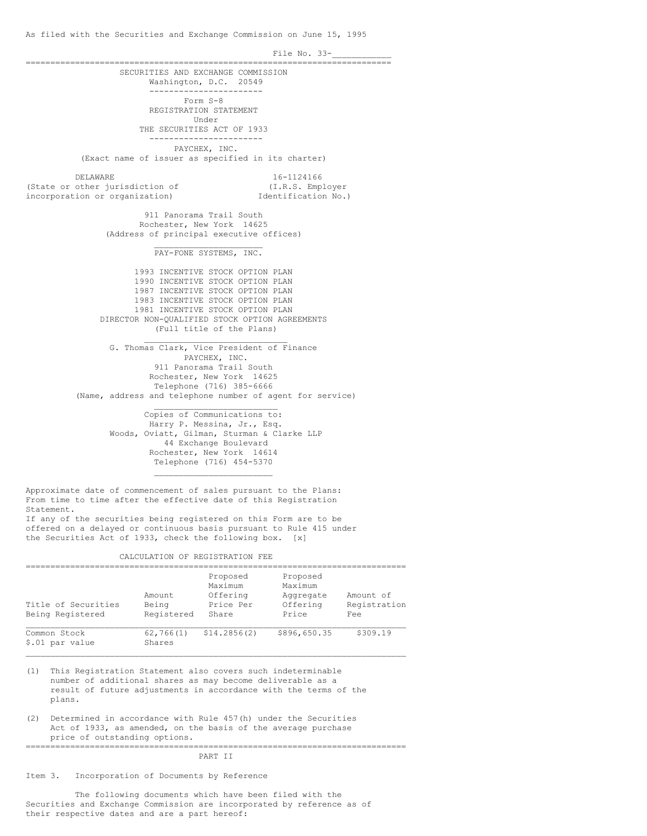File No. 33-========================================================================== SECURITIES AND EXCHANGE COMMISSION Washington, D.C. 20549 ----------------------- Form S-8 REGISTRATION STATEMENT Under THE SECURITIES ACT OF 1933 ----------------------- PAYCHEX, INC. (Exact name of issuer as specified in its charter) DELAWARE 16-1124166<br>
other jurisdiction of  $(1.R.S.$  Employer (State or other jurisdiction of  $(1,R.S.$  Employer<br>incorporation or organization) Identification No.) incorporation or organization) 911 Panorama Trail South Rochester, New York 14625 (Address of principal executive offices) \_\_\_\_\_\_\_\_\_\_\_\_\_\_\_\_\_\_\_\_\_\_ PAY-FONE SYSTEMS, INC. 1993 INCENTIVE STOCK OPTION PLAN 1990 INCENTIVE STOCK OPTION PLAN 1987 INCENTIVE STOCK OPTION PLAN 1983 INCENTIVE STOCK OPTION PLAN 1981 INCENTIVE STOCK OPTION PLAN DIRECTOR NON-QUALIFIED STOCK OPTION AGREEMENTS (Full title of the Plans)  $\mathcal{L}_\text{max}$  , and the set of the set of the set of the set of the set of the set of the set of the set of the set of the set of the set of the set of the set of the set of the set of the set of the set of the set of the G. Thomas Clark, Vice President of Finance PAYCHEX, INC. 911 Panorama Trail South Rochester, New York 14625 Telephone (716) 385-6666 (Name, address and telephone number of agent for service) \_\_\_\_\_\_\_\_\_\_\_\_\_\_\_\_\_\_\_\_\_\_\_\_\_ Copies of Communications to: Harry P. Messina, Jr., Esq. Woods, Oviatt, Gilman, Sturman & Clarke LLP 44 Exchange Boulevard Rochester, New York 14614 Telephone (716) 454-5370 \_\_\_\_\_\_\_\_\_\_\_\_\_\_\_\_\_\_\_\_\_\_\_\_ Approximate date of commencement of sales pursuant to the Plans: From time to time after the effective date of this Registration Statement. If any of the securities being registered on this Form are to be offered on a delayed or continuous basis pursuant to Rule 415 under the Securities Act of 1933, check the following box. [x] CALCULATION OF REGISTRATION FEE =============================================================================

| Title of Securities<br>Being Registered | Amount<br>Being<br>Registered | Proposed<br>Maximum<br>Offering<br>Price Per<br>Share | Proposed<br>Maximum<br>Aggregate<br>Offering<br>Price | Amount of<br>Registration<br>Fee |
|-----------------------------------------|-------------------------------|-------------------------------------------------------|-------------------------------------------------------|----------------------------------|
| Common Stock<br>\$.01 par value         | 62, 766(1)<br>Shares          | \$14.2856(2)                                          | \$896,650.35                                          | \$309.19                         |

 $\mathcal{L}_\mathcal{L} = \mathcal{L}_\mathcal{L} = \mathcal{L}_\mathcal{L} = \mathcal{L}_\mathcal{L} = \mathcal{L}_\mathcal{L} = \mathcal{L}_\mathcal{L} = \mathcal{L}_\mathcal{L} = \mathcal{L}_\mathcal{L} = \mathcal{L}_\mathcal{L} = \mathcal{L}_\mathcal{L} = \mathcal{L}_\mathcal{L} = \mathcal{L}_\mathcal{L} = \mathcal{L}_\mathcal{L} = \mathcal{L}_\mathcal{L} = \mathcal{L}_\mathcal{L} = \mathcal{L}_\mathcal{L} = \mathcal{L}_\mathcal{L}$ 

(1) This Registration Statement also covers such indeterminable number of additional shares as may become deliverable as a result of future adjustments in accordance with the terms of the plans.

(2) Determined in accordance with Rule 457(h) under the Securities Act of 1933, as amended, on the basis of the average purchase price of outstanding options. =============================================================================

PART II

Item 3. Incorporation of Documents by Reference

The following documents which have been filed with the Securities and Exchange Commission are incorporated by reference as of their respective dates and are a part hereof: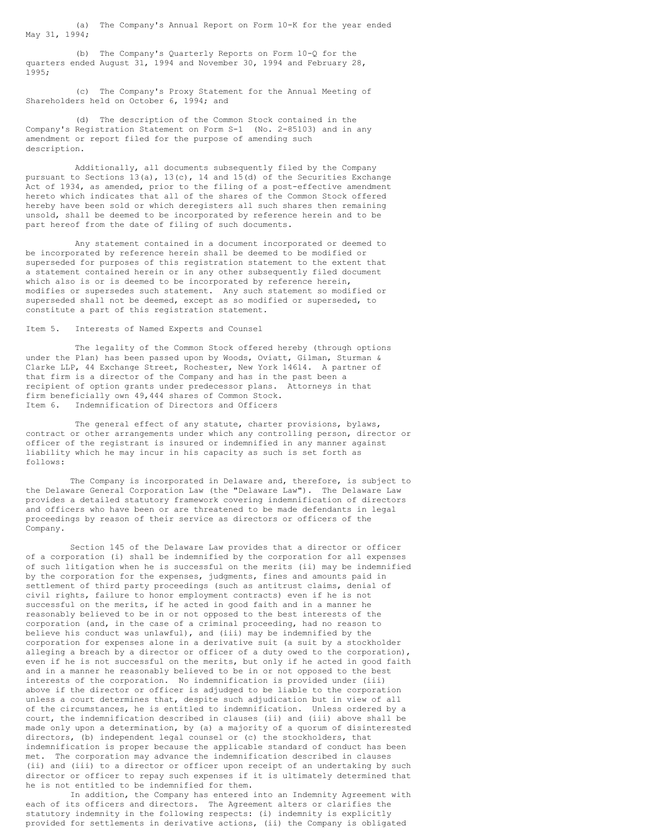(a) The Company's Annual Report on Form 10-K for the year ended May 31, 1994;

(b) The Company's Quarterly Reports on Form 10-Q for the quarters ended August 31, 1994 and November 30, 1994 and February 28, 1995;

(c) The Company's Proxy Statement for the Annual Meeting of Shareholders held on October 6, 1994; and

(d) The description of the Common Stock contained in the Company's Registration Statement on Form S-1 (No. 2-85103) and in any amendment or report filed for the purpose of amending such description.

Additionally, all documents subsequently filed by the Company pursuant to Sections 13(a), 13(c), 14 and 15(d) of the Securities Exchange Act of 1934, as amended, prior to the filing of a post-effective amendment hereto which indicates that all of the shares of the Common Stock offered hereby have been sold or which deregisters all such shares then remaining unsold, shall be deemed to be incorporated by reference herein and to be part hereof from the date of filing of such documents.

Any statement contained in a document incorporated or deemed to be incorporated by reference herein shall be deemed to be modified or superseded for purposes of this registration statement to the extent that a statement contained herein or in any other subsequently filed document which also is or is deemed to be incorporated by reference herein, modifies or supersedes such statement. Any such statement so modified or superseded shall not be deemed, except as so modified or superseded, to constitute a part of this registration statement.

## Item 5. Interests of Named Experts and Counsel

The legality of the Common Stock offered hereby (through options under the Plan) has been passed upon by Woods, Oviatt, Gilman, Sturman & Clarke LLP, 44 Exchange Street, Rochester, New York 14614. A partner of that firm is a director of the Company and has in the past been a recipient of option grants under predecessor plans. Attorneys in that firm beneficially own 49,444 shares of Common Stock. Item 6. Indemnification of Directors and Officers

The general effect of any statute, charter provisions, bylaws, contract or other arrangements under which any controlling person, director or officer of the registrant is insured or indemnified in any manner against liability which he may incur in his capacity as such is set forth as follows:

The Company is incorporated in Delaware and, therefore, is subject to the Delaware General Corporation Law (the "Delaware Law"). The Delaware Law provides a detailed statutory framework covering indemnification of directors and officers who have been or are threatened to be made defendants in legal proceedings by reason of their service as directors or officers of the Company.

Section 145 of the Delaware Law provides that a director or officer of a corporation (i) shall be indemnified by the corporation for all expenses of such litigation when he is successful on the merits (ii) may be indemnified by the corporation for the expenses, judgments, fines and amounts paid in settlement of third party proceedings (such as antitrust claims, denial of civil rights, failure to honor employment contracts) even if he is not successful on the merits, if he acted in good faith and in a manner he reasonably believed to be in or not opposed to the best interests of the corporation (and, in the case of a criminal proceeding, had no reason to believe his conduct was unlawful), and (iii) may be indemnified by the corporation for expenses alone in a derivative suit (a suit by a stockholder alleging a breach by a director or officer of a duty owed to the corporation), even if he is not successful on the merits, but only if he acted in good faith and in a manner he reasonably believed to be in or not opposed to the best interests of the corporation. No indemnification is provided under (iii) above if the director or officer is adjudged to be liable to the corporation unless a court determines that, despite such adjudication but in view of all of the circumstances, he is entitled to indemnification. Unless ordered by a court, the indemnification described in clauses (ii) and (iii) above shall be made only upon a determination, by (a) a majority of a quorum of disinterested directors, (b) independent legal counsel or (c) the stockholders, that indemnification is proper because the applicable standard of conduct has been met. The corporation may advance the indemnification described in clauses (ii) and (iii) to a director or officer upon receipt of an undertaking by such director or officer to repay such expenses if it is ultimately determined that he is not entitled to be indemnified for them.

In addition, the Company has entered into an Indemnity Agreement with each of its officers and directors. The Agreement alters or clarifies the statutory indemnity in the following respects: (i) indemnity is explicitly provided for settlements in derivative actions, (ii) the Company is obligated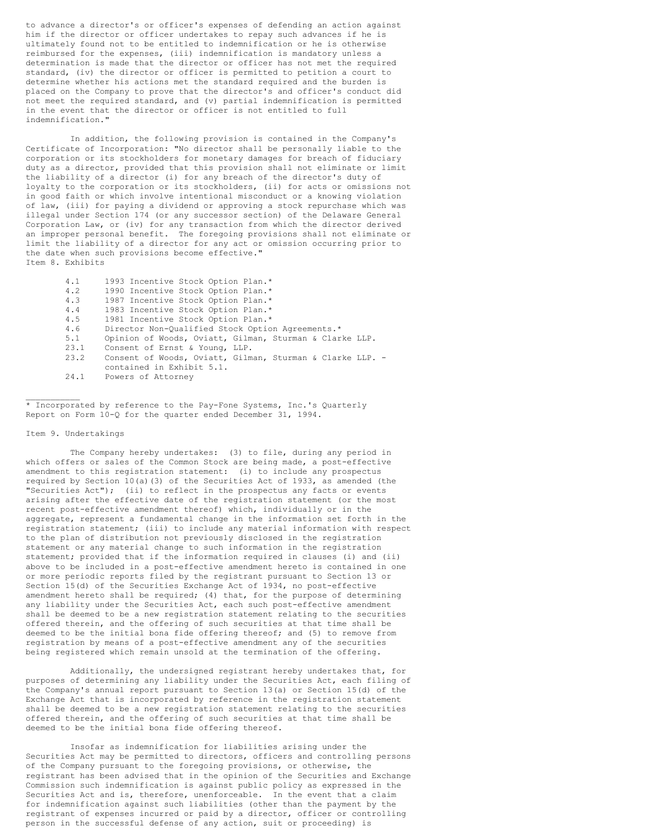to advance a director's or officer's expenses of defending an action against him if the director or officer undertakes to repay such advances if he is ultimately found not to be entitled to indemnification or he is otherwise reimbursed for the expenses, (iii) indemnification is mandatory unless a determination is made that the director or officer has not met the required standard, (iv) the director or officer is permitted to petition a court to determine whether his actions met the standard required and the burden is placed on the Company to prove that the director's and officer's conduct did not meet the required standard, and (v) partial indemnification is permitted in the event that the director or officer is not entitled to full indemnification."

In addition, the following provision is contained in the Company's Certificate of Incorporation: "No director shall be personally liable to the corporation or its stockholders for monetary damages for breach of fiduciary duty as a director, provided that this provision shall not eliminate or limit the liability of a director (i) for any breach of the director's duty of loyalty to the corporation or its stockholders, (ii) for acts or omissions not in good faith or which involve intentional misconduct or a knowing violation of law, (iii) for paying a dividend or approving a stock repurchase which was illegal under Section 174 (or any successor section) of the Delaware General Corporation Law, or (iv) for any transaction from which the director derived an improper personal benefit. The foregoing provisions shall not eliminate or limit the liability of a director for any act or omission occurring prior to the date when such provisions become effective." Item 8. Exhibits

> 4.1 1993 Incentive Stock Option Plan.\* 4.2 1990 Incentive Stock Option Plan.\*<br>4.3 1987 Incentive Stock Option Plan.\* 1987 Incentive Stock Option Plan.\* 4.4 1983 Incentive Stock Option Plan.\* 4.5 1981 Incentive Stock Option Plan.\*<br>4.6 Director Non-Qualified Stock Option Director Non-Qualified Stock Option Agreements.\* 5.1 Opinion of Woods, Oviatt, Gilman, Sturman & Clarke LLP.<br>23.1 Consent of Ernst & Young, LLP. 23.1 Consent of Ernst & Young, LLP.<br>23.2 Consent of Woods, Oviatt, Gilma Consent of Woods, Oviatt, Gilman, Sturman & Clarke LLP. contained in Exhibit 5.1. 24.1 Powers of Attorney

\* Incorporated by reference to the Pay-Fone Systems, Inc.'s Quarterly Report on Form 10-Q for the quarter ended December 31, 1994.

#### Item 9. Undertakings

 $\mathcal{L}_\text{max}$ 

The Company hereby undertakes: (3) to file, during any period in which offers or sales of the Common Stock are being made, a post-effective amendment to this registration statement: (i) to include any prospectus required by Section 10(a)(3) of the Securities Act of 1933, as amended (the "Securities  $Act")$ ; (ii) to reflect in the prospectus any facts or events arising after the effective date of the registration statement (or the most recent post-effective amendment thereof) which, individually or in the aggregate, represent a fundamental change in the information set forth in the registration statement; (iii) to include any material information with respect to the plan of distribution not previously disclosed in the registration statement or any material change to such information in the registration statement; provided that if the information required in clauses (i) and (ii) above to be included in a post-effective amendment hereto is contained in one or more periodic reports filed by the registrant pursuant to Section 13 or Section 15(d) of the Securities Exchange Act of 1934, no post-effective amendment hereto shall be required; (4) that, for the purpose of determining any liability under the Securities Act, each such post-effective amendment shall be deemed to be a new registration statement relating to the securities offered therein, and the offering of such securities at that time shall be deemed to be the initial bona fide offering thereof; and (5) to remove from registration by means of a post-effective amendment any of the securities being registered which remain unsold at the termination of the offering.

Additionally, the undersigned registrant hereby undertakes that, for purposes of determining any liability under the Securities Act, each filing of the Company's annual report pursuant to Section 13(a) or Section 15(d) of the Exchange Act that is incorporated by reference in the registration statement shall be deemed to be a new registration statement relating to the securities offered therein, and the offering of such securities at that time shall be deemed to be the initial bona fide offering thereof.

Insofar as indemnification for liabilities arising under the Securities Act may be permitted to directors, officers and controlling persons of the Company pursuant to the foregoing provisions, or otherwise, the registrant has been advised that in the opinion of the Securities and Exchange Commission such indemnification is against public policy as expressed in the Securities Act and is, therefore, unenforceable. In the event that a claim for indemnification against such liabilities (other than the payment by the registrant of expenses incurred or paid by a director, officer or controlling person in the successful defense of any action, suit or proceeding) is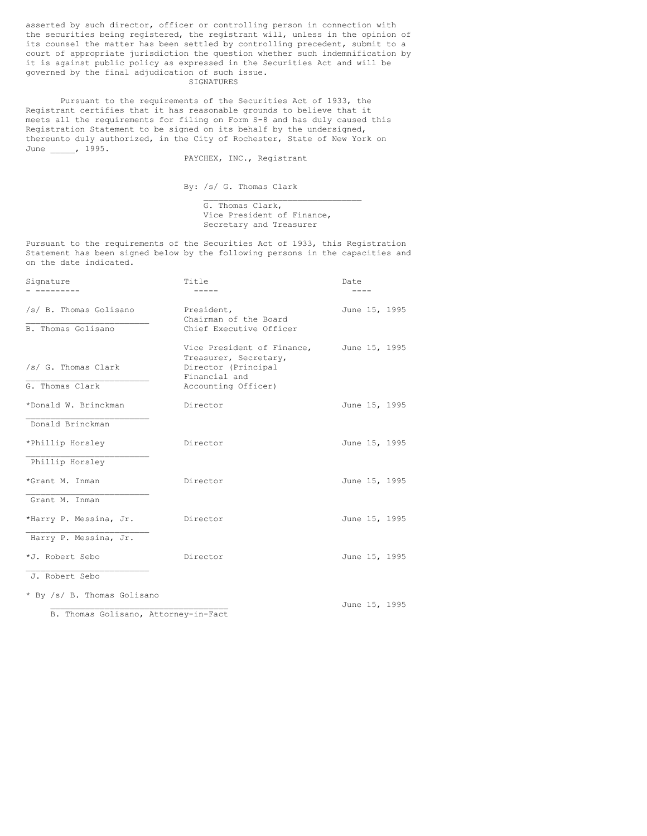asserted by such director, officer or controlling person in connection with the securities being registered, the registrant will, unless in the opinion of its counsel the matter has been settled by controlling precedent, submit to a court of appropriate jurisdiction the question whether such indemnification by it is against public policy as expressed in the Securities Act and will be governed by the final adjudication of such issue.

## SIGNATURES

Pursuant to the requirements of the Securities Act of 1933, the Registrant certifies that it has reasonable grounds to believe that it meets all the requirements for filing on Form S-8 and has duly caused this Registration Statement to be signed on its behalf by the undersigned, thereunto duly authorized, in the City of Rochester, State of New York on June \_\_\_\_\_, 1995.

PAYCHEX, INC., Registrant

By: /s/ G. Thomas Clark

G. Thomas Clark, Vice President of Finance, Secretary and Treasurer

 $\_$ 

Pursuant to the requirements of the Securities Act of 1933, this Registration Statement has been signed below by the following persons in the capacities and on the date indicated.

| Signature                            | Title                                                                                       | Date          |
|--------------------------------------|---------------------------------------------------------------------------------------------|---------------|
|                                      |                                                                                             |               |
| /s/ B. Thomas Golisano               | President,<br>Chairman of the Board                                                         | June 15, 1995 |
| B. Thomas Golisano                   | Chief Executive Officer                                                                     |               |
| /s/ G. Thomas Clark                  | Vice President of Finance,<br>Treasurer, Secretary,<br>Director (Principal<br>Financial and | June 15, 1995 |
| G. Thomas Clark                      | Accounting Officer)                                                                         |               |
| *Donald W. Brinckman                 | Director                                                                                    | June 15, 1995 |
| Donald Brinckman                     |                                                                                             |               |
| *Phillip Horsley                     | Director                                                                                    | June 15, 1995 |
| Phillip Horsley                      |                                                                                             |               |
| *Grant M. Inman                      | Director                                                                                    | June 15, 1995 |
| Grant M. Inman                       |                                                                                             |               |
| *Harry P. Messina, Jr.               | Director                                                                                    | June 15, 1995 |
| Harry P. Messina, Jr.                |                                                                                             |               |
| *J. Robert Sebo                      | Director                                                                                    | June 15, 1995 |
| J. Robert Sebo                       |                                                                                             |               |
| * By /s/ B. Thomas Golisano          |                                                                                             | June 15, 1995 |
| B. Thomas Golisano, Attorney-in-Fact |                                                                                             |               |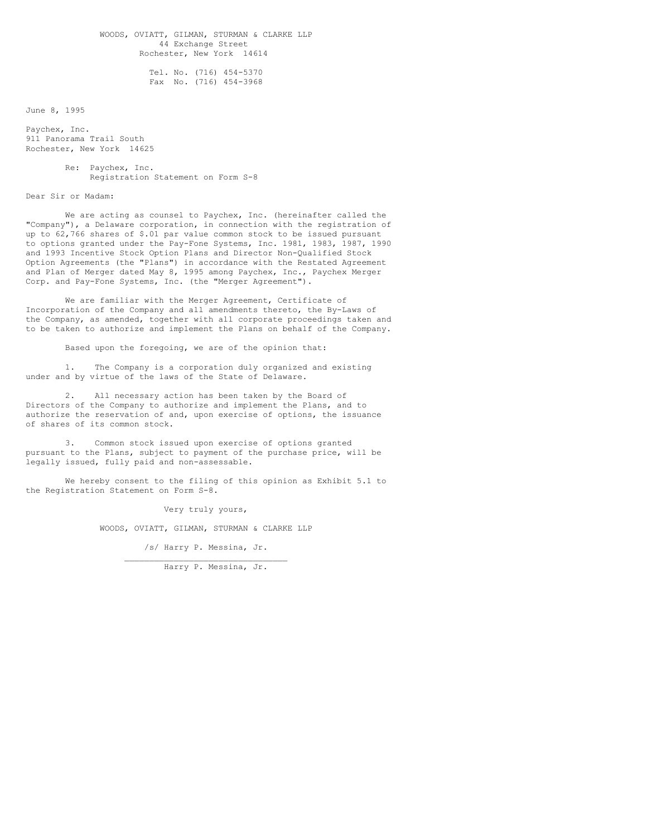WOODS, OVIATT, GILMAN, STURMAN & CLARKE LLP 44 Exchange Street Rochester, New York 14614

> Tel. No. (716) 454-5370 Fax No. (716) 454-3968

June 8, 1995

Paychex, Inc. 911 Panorama Trail South Rochester, New York 14625

> Re: Paychex, Inc. Registration Statement on Form S-8

Dear Sir or Madam:

We are acting as counsel to Paychex, Inc. (hereinafter called the "Company"), a Delaware corporation, in connection with the registration of up to 62,766 shares of \$.01 par value common stock to be issued pursuant to options granted under the Pay-Fone Systems, Inc. 1981, 1983, 1987, 1990 and 1993 Incentive Stock Option Plans and Director Non-Qualified Stock Option Agreements (the "Plans") in accordance with the Restated Agreement and Plan of Merger dated May 8, 1995 among Paychex, Inc., Paychex Merger Corp. and Pay-Fone Systems, Inc. (the "Merger Agreement").

We are familiar with the Merger Agreement, Certificate of Incorporation of the Company and all amendments thereto, the By-Laws of the Company, as amended, together with all corporate proceedings taken and to be taken to authorize and implement the Plans on behalf of the Company.

Based upon the foregoing, we are of the opinion that:

1. The Company is a corporation duly organized and existing under and by virtue of the laws of the State of Delaware.

2. All necessary action has been taken by the Board of Directors of the Company to authorize and implement the Plans, and to authorize the reservation of and, upon exercise of options, the issuance of shares of its common stock.

Common stock issued upon exercise of options granted pursuant to the Plans, subject to payment of the purchase price, will be legally issued, fully paid and non-assessable.

We hereby consent to the filing of this opinion as Exhibit 5.1 to the Registration Statement on Form S-8.

Very truly yours,

WOODS, OVIATT, GILMAN, STURMAN & CLARKE LLP

/s/ Harry P. Messina, Jr.  $\overline{\phantom{a}}$  , and the set of the set of the set of the set of the set of the set of the set of the set of the set of the set of the set of the set of the set of the set of the set of the set of the set of the set of the s

Harry P. Messina, Jr.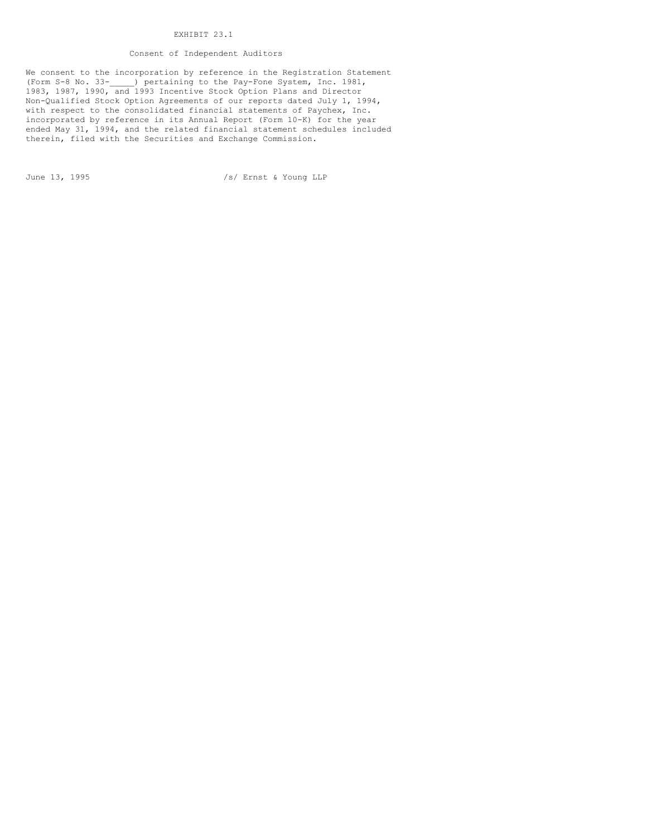# EXHIBIT 23.1

## Consent of Independent Auditors

We consent to the incorporation by reference in the Registration Statement (Form S-8 No. 33-\_\_\_\_\_) pertaining to the Pay-Fone System, Inc. 1981, 1983, 1987, 1990, and 1993 Incentive Stock Option Plans and Director Non-Qualified Stock Option Agreements of our reports dated July 1, 1994, with respect to the consolidated financial statements of Paychex, Inc. incorporated by reference in its Annual Report (Form 10-K) for the year ended May 31, 1994, and the related financial statement schedules included therein, filed with the Securities and Exchange Commission.

June 13, 1995 /s/ Ernst & Young LLP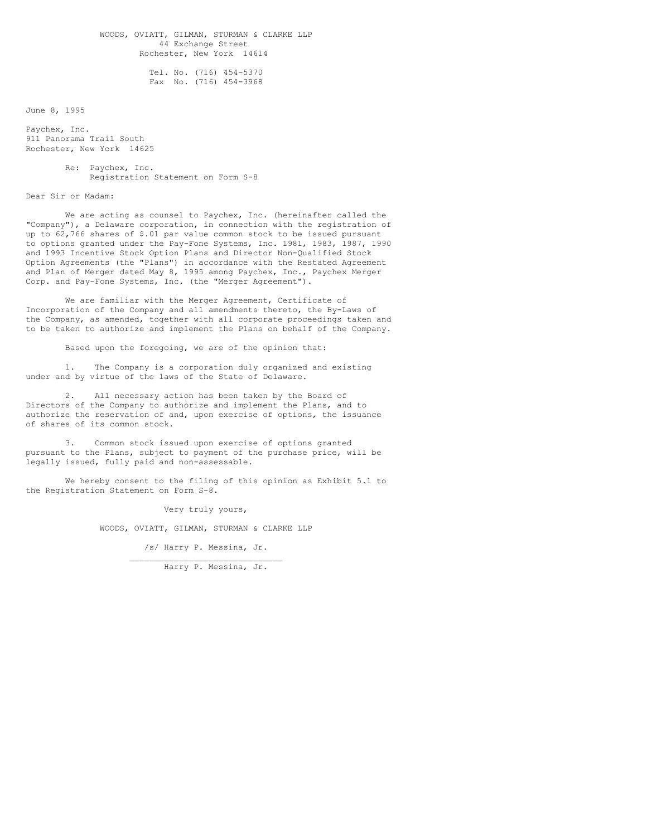WOODS, OVIATT, GILMAN, STURMAN & CLARKE LLP 44 Exchange Street Rochester, New York 14614

> Tel. No. (716) 454-5370 Fax No. (716) 454-3968

June 8, 1995

Paychex, Inc. 911 Panorama Trail South Rochester, New York 14625

> Re: Paychex, Inc. Registration Statement on Form S-8

Dear Sir or Madam:

We are acting as counsel to Paychex, Inc. (hereinafter called the "Company"), a Delaware corporation, in connection with the registration of up to 62,766 shares of \$.01 par value common stock to be issued pursuant to options granted under the Pay-Fone Systems, Inc. 1981, 1983, 1987, 1990 and 1993 Incentive Stock Option Plans and Director Non-Qualified Stock Option Agreements (the "Plans") in accordance with the Restated Agreement and Plan of Merger dated May 8, 1995 among Paychex, Inc., Paychex Merger Corp. and Pay-Fone Systems, Inc. (the "Merger Agreement").

We are familiar with the Merger Agreement, Certificate of Incorporation of the Company and all amendments thereto, the By-Laws of the Company, as amended, together with all corporate proceedings taken and to be taken to authorize and implement the Plans on behalf of the Company.

Based upon the foregoing, we are of the opinion that:

1. The Company is a corporation duly organized and existing under and by virtue of the laws of the State of Delaware.

2. All necessary action has been taken by the Board of Directors of the Company to authorize and implement the Plans, and to authorize the reservation of and, upon exercise of options, the issuance of shares of its common stock.

Common stock issued upon exercise of options granted pursuant to the Plans, subject to payment of the purchase price, will be legally issued, fully paid and non-assessable.

We hereby consent to the filing of this opinion as Exhibit 5.1 to the Registration Statement on Form S-8.

Very truly yours,

WOODS, OVIATT, GILMAN, STURMAN & CLARKE LLP

/s/ Harry P. Messina, Jr.  $\overline{\phantom{a}}$  , where  $\overline{\phantom{a}}$  , where  $\overline{\phantom{a}}$  ,  $\overline{\phantom{a}}$  ,  $\overline{\phantom{a}}$  ,  $\overline{\phantom{a}}$  ,  $\overline{\phantom{a}}$  ,  $\overline{\phantom{a}}$  ,  $\overline{\phantom{a}}$  ,  $\overline{\phantom{a}}$  ,  $\overline{\phantom{a}}$  ,  $\overline{\phantom{a}}$  ,  $\overline{\phantom{a}}$  ,  $\overline{\phantom{a}}$  ,  $\overline{\phantom{a}}$  ,

Harry P. Messina, Jr.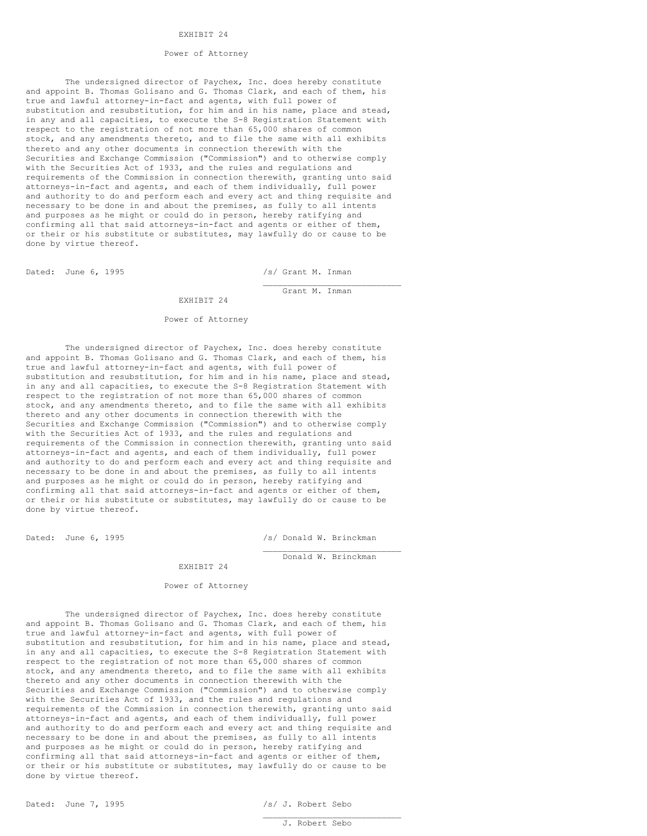## EXHIBIT 24

## Power of Attorney

The undersigned director of Paychex, Inc. does hereby constitute and appoint B. Thomas Golisano and G. Thomas Clark, and each of them, his true and lawful attorney-in-fact and agents, with full power of substitution and resubstitution, for him and in his name, place and stead, in any and all capacities, to execute the S-8 Registration Statement with respect to the registration of not more than 65,000 shares of common stock, and any amendments thereto, and to file the same with all exhibits thereto and any other documents in connection therewith with the Securities and Exchange Commission ("Commission") and to otherwise comply with the Securities Act of 1933, and the rules and regulations and requirements of the Commission in connection therewith, granting unto said attorneys-in-fact and agents, and each of them individually, full power and authority to do and perform each and every act and thing requisite and necessary to be done in and about the premises, as fully to all intents and purposes as he might or could do in person, hereby ratifying and confirming all that said attorneys-in-fact and agents or either of them, or their or his substitute or substitutes, may lawfully do or cause to be done by virtue thereof.

Dated: June 6, 1995 /s/ Grant M. Inman

 $\overline{\phantom{a}}$  , where  $\overline{\phantom{a}}$  , where  $\overline{\phantom{a}}$  , where  $\overline{\phantom{a}}$ Grant M. Inman

## EXHIBIT 24

#### Power of Attorney

The undersigned director of Paychex, Inc. does hereby constitute and appoint B. Thomas Golisano and G. Thomas Clark, and each of them, his true and lawful attorney-in-fact and agents, with full power of substitution and resubstitution, for him and in his name, place and stead, in any and all capacities, to execute the S-8 Registration Statement with respect to the registration of not more than 65,000 shares of common stock, and any amendments thereto, and to file the same with all exhibits thereto and any other documents in connection therewith with the Securities and Exchange Commission ("Commission") and to otherwise comply with the Securities Act of 1933, and the rules and regulations and requirements of the Commission in connection therewith, granting unto said attorneys-in-fact and agents, and each of them individually, full power and authority to do and perform each and every act and thing requisite and necessary to be done in and about the premises, as fully to all intents and purposes as he might or could do in person, hereby ratifying and confirming all that said attorneys-in-fact and agents or either of them, or their or his substitute or substitutes, may lawfully do or cause to be done by virtue thereof.

Dated: June 6, 1995 /s/ Donald W. Brinckman

 $\overline{\phantom{a}}$  , where  $\overline{\phantom{a}}$  , where  $\overline{\phantom{a}}$  , where  $\overline{\phantom{a}}$ Donald W. Brinckman

#### EXHIBIT 24

## Power of Attorney

The undersigned director of Paychex, Inc. does hereby constitute and appoint B. Thomas Golisano and G. Thomas Clark, and each of them, his true and lawful attorney-in-fact and agents, with full power of substitution and resubstitution, for him and in his name, place and stead, in any and all capacities, to execute the S-8 Registration Statement with respect to the registration of not more than 65,000 shares of common stock, and any amendments thereto, and to file the same with all exhibits thereto and any other documents in connection therewith with the Securities and Exchange Commission ("Commission") and to otherwise comply with the Securities Act of 1933, and the rules and regulations and requirements of the Commission in connection therewith, granting unto said attorneys-in-fact and agents, and each of them individually, full power and authority to do and perform each and every act and thing requisite and necessary to be done in and about the premises, as fully to all intents and purposes as he might or could do in person, hereby ratifying and confirming all that said attorneys-in-fact and agents or either of them, or their or his substitute or substitutes, may lawfully do or cause to be done by virtue thereof.

 $\overline{\phantom{a}}$  , where  $\overline{\phantom{a}}$  , where  $\overline{\phantom{a}}$  , where  $\overline{\phantom{a}}$